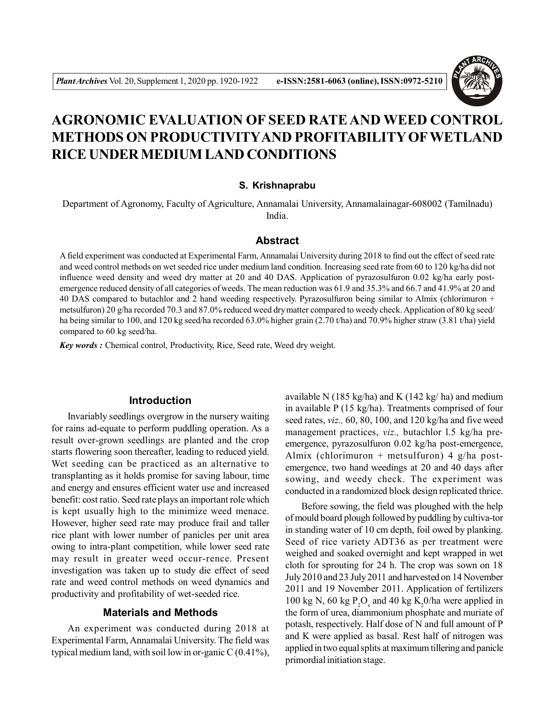

# **AGRONOMIC EVALUATION OF SEED RATE AND WEED CONTROL METHODS ON PRODUCTIVITYAND PROFITABILITY OFWETLAND RICE UNDER MEDIUM LAND CONDITIONS**

### **S. Krishnaprabu**

Department of Agronomy, Faculty of Agriculture, Annamalai University, Annamalainagar-608002 (Tamilnadu) India.

#### **Abstract**

A field experiment was conducted at Experimental Farm, Annamalai University during 2018 to find out the effect of seed rate and weed control methods on wet seeded rice under medium land condition. Increasing seed rate from 60 to 120 kg/ha did not influence weed density and weed dry matter at 20 and 40 DAS. Application of pyrazosulfuron 0.02 kg/ha early postemergence reduced density of all categories of weeds. The mean reduction was 61.9 and 35.3% and 66.7 and 41.9% at 20 and 40 DAS compared to butachlor and 2 hand weeding respectively. Pyrazosulfuron being similar to Almix (chlorimuron + metsulfuron) 20 g/ha recorded 70.3 and 87.0% reduced weed dry matter compared to weedy check. Application of 80 kg seed/ ha being similar to 100, and 120 kg seed/ha recorded 63.0% higher grain (2.70 t/ha) and 70.9% higher straw (3.81 t/ha) yield compared to 60 kg seed/ha.

*Key words :* Chemical control, Productivity, Rice, Seed rate, Weed dry weight.

## **Introduction**

Invariably seedlings overgrow in the nursery waiting for rains ad-equate to perform puddling operation. As a result over-grown seedlings are planted and the crop starts flowering soon thereafter, leading to reduced yield. Wet seeding can be practiced as an alternative to transplanting as it holds promise for saving labour, time and energy and ensures efficient water use and increased benefit: cost ratio. Seed rate plays an important role which is kept usually high to the minimize weed menace. However, higher seed rate may produce frail and taller rice plant with lower number of panicles per unit area owing to intra-plant competition, while lower seed rate may result in greater weed occur-rence. Present investigation was taken up to study die effect of seed rate and weed control methods on weed dynamics and productivity and profitability of wet-seeded rice.

# **Materials and Methods**

An experiment was conducted during 2018 at Experimental Farm, Annamalai University. The field was typical medium land, with soil low in or-ganic  $C(0.41\%)$ , available N (185 kg/ha) and K (142 kg/ ha) and medium in available P (15 kg/ha). Treatments comprised of four seed rates, *viz.,* 60, 80, 100, and 120 kg/ha and five weed management practices, *viz.,* butachlor l.5 kg/ha preemergence, pyrazosulfuron 0.02 kg/ha post-emergence, Almix (chlorimuron + metsulfuron)  $4 \frac{g}{ha}$  postemergence, two hand weedings at 20 and 40 days after sowing, and weedy check. The experiment was conducted in a randomized block design replicated thrice.

Before sowing, the field was ploughed with the help of mould board plough followed by puddling by cultiva-tor in standing water of 10 cm depth, foil owed by planking. Seed of rice variety ADT36 as per treatment were weighed and soaked overnight and kept wrapped in wet cloth for sprouting for 24 h. The crop was sown on 18 July 2010 and 23 July 2011 and harvested on 14 November 2011 and 19 November 2011. Application of fertilizers 100 kg N, 60 kg  $P_2O_s$  and 40 kg K<sub>2</sub>0/ha were applied in the form of urea, diammonium phosphate and muriate of potash, respectively. Half dose of N and full amount of P and K were applied as basal. Rest half of nitrogen was applied in two equal splits at maximum tillering and panicle primordial initiation stage.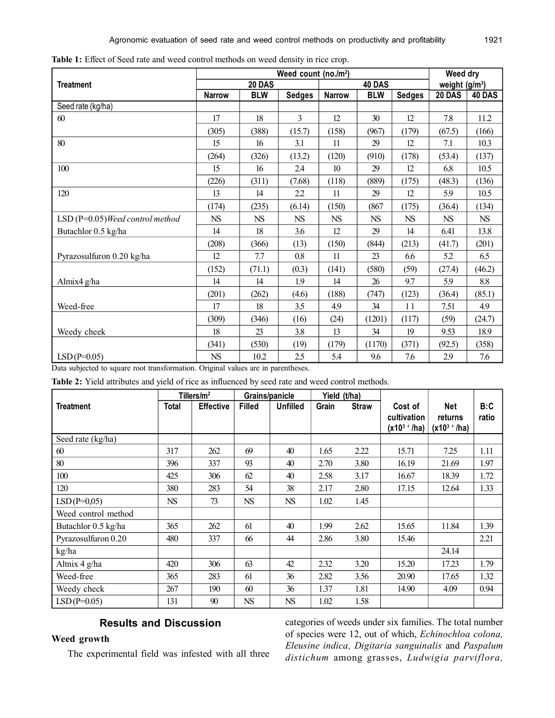|                                   | Weed count (no./m <sup>2</sup> ) |            |               |                  |            |               | Weed dry        |             |
|-----------------------------------|----------------------------------|------------|---------------|------------------|------------|---------------|-----------------|-------------|
| <b>Treatment</b>                  | 20 DAS                           |            |               | 40 DAS           |            |               | weight $(g/m3)$ |             |
|                                   | <b>Narrow</b>                    | <b>BLW</b> | <b>Sedges</b> | <b>Narrow</b>    | <b>BLW</b> | <b>Sedges</b> | 20 DAS          | 40 DAS      |
| Seed rate (kg/ha)                 |                                  |            |               |                  |            |               |                 |             |
| 60                                | 17                               | 18         | 3             | 12               | 30         | 12            | 7.8             | 11.2        |
|                                   | (305)                            | (388)      | (15.7)        | (158)            | (967)      | (179)         | (67.5)          | (166)       |
| 80                                | 15                               | 16         | 3.1           | 11               | 29         | 12            | 7.1             | 10.3        |
|                                   | (264)                            | (326)      | (13.2)        | (120)            | (910)      | (178)         | (53.4)          | (137)       |
| 100                               | 15                               | 16         | 2.4           | 10 <sup>10</sup> | 29         | 12            | 6.8             | 10.5        |
|                                   | (226)                            | (311)      | (7.68)        | (118)            | (889)      | (175)         | (48.3)          | (136)       |
| 120                               | 13                               | 14         | 2.2           | 11               | 29         | 12            | 5.9             | 10.5        |
|                                   | (174)                            | (235)      | (6.14)        | (150)            | (867)      | (175)         | (36.4)          | (134)       |
| $LSD(P=0.05)$ Weed control method | ${\rm NS}$                       | <b>NS</b>  | NS            | <b>NS</b>        | <b>NS</b>  | <b>NS</b>     | NS              | $_{\rm NS}$ |
| Butachlor 0.5 kg/ha               | 14                               | 18         | 3.6           | 12               | 29         | 14            | 6.41            | 13.8        |
|                                   | (208)                            | (366)      | (13)          | (150)            | (844)      | (213)         | (41.7)          | (201)       |
| Pyrazosulfuron 0.20 kg/ha         | 12                               | 7.7        | 0.8           | 11               | 23         | 6.6           | 5.2             | 6.5         |
|                                   | (152)                            | (71.1)     | (0.3)         | (141)            | (580)      | (59)          | (27.4)          | (46.2)      |
| Almix4 g/ha                       | 14                               | 14         | 1.9           | 14               | 26         | 9.7           | 5.9             | 8.8         |
|                                   | (201)                            | (262)      | (4.6)         | (188)            | (747)      | (123)         | (36.4)          | (85.1)      |
| Weed-free                         | 17                               | 18         | 3.5           | 4.9              | 34         | 11            | 7.51            | 4.9         |
|                                   | (309)                            | (346)      | (16)          | (24)             | (1201)     | (117)         | (59)            | (24.7)      |
| Weedy cheek                       | 18                               | 23         | 3.8           | 13               | 34         | 19            | 9.53            | 18.9        |
|                                   | (341)                            | (530)      | (19)          | (179)            | (1170)     | (371)         | (92.5)          | (358)       |
| $LSD(P=0.05)$                     | ${\rm NS}$                       | 10.2       | 2.5           | 5.4              | 9.6        | 7.6           | 2.9             | 7.6         |

**Table 1:** Effect of Seed rate and weed control methods on weed density in rice crop.

Data subjected to square root transformation. Original values are in parentheses.

**Table 2:** Yield attributes and yield of rice as influenced by seed rate and weed control methods.

| Tillers/ $m2$       |           |                  | Grains/panicle |           | Yield (t/ha) |              |                                           |                                   |              |
|---------------------|-----------|------------------|----------------|-----------|--------------|--------------|-------------------------------------------|-----------------------------------|--------------|
| <b>Treatment</b>    | Total     | <b>Effective</b> | <b>Filled</b>  | Unfilled  | Grain        | <b>Straw</b> | Cost of<br>cultivation<br>$(x10^3)$ '/ha) | Net<br>returns<br>$(x10^3)$ '/ha) | B:C<br>ratio |
| Seed rate (kg/ha)   |           |                  |                |           |              |              |                                           |                                   |              |
| 60                  | 317       | 262              | 69             | 40        | 1.65         | 2.22         | 15.71                                     | 7.25                              | 1.11         |
| 80                  | 396       | 337              | 93             | 40        | 2.70         | 3.80         | 16.19                                     | 21.69                             | 1.97         |
| 100                 | 425       | 306              | 62             | 40        | 2.58         | 3.17         | 16.67                                     | 18.39                             | 1.72         |
| 120                 | 380       | 283              | 54             | 38        | 2.17         | 2.80         | 17.15                                     | 12.64                             | 1.33         |
| $LSD(P=0.05)$       | <b>NS</b> | 73               | <b>NS</b>      | <b>NS</b> | 1.02         | 1.45         |                                           |                                   |              |
| Weed control method |           |                  |                |           |              |              |                                           |                                   |              |
| Butachlor 0.5 kg/ha | 365       | 262              | 61             | 40        | 1.99         | 2.62         | 15.65                                     | 11.84                             | 1.39         |
| Pyrazosulfuron 0.20 | 480       | 337              | 66             | 44        | 2.86         | 3.80         | 15.46                                     |                                   | 2.21         |
| kg/ha               |           |                  |                |           |              |              |                                           | 24.14                             |              |
| Altnix 4 g/ha       | 420       | 306              | 63             | 42        | 2.32         | 3.20         | 15.20                                     | 17.23                             | 1.79         |
| Weed-free           | 365       | 283              | 61             | 36        | 2.82         | 3.56         | 20.90                                     | 17.65                             | 1.32         |
| Weedy check         | 267       | 190              | 60             | 36        | 1.37         | 1.81         | 14.90                                     | 4.09                              | 0.94         |
| $LSD(P=0.05)$       | 131       | 90               | NS             | <b>NS</b> | 1.02         | 1.58         |                                           |                                   |              |

# **Results and Discussion**

# **Weed growth**

The experimental field was infested with all three

categories of weeds under six families. The total number of species were 12, out of which, *Echinochloa colona, Eleusine indica, Digitaria sanguinalis* and *Paspalum distichum* among grasses, *Ludwigia parviflora,*